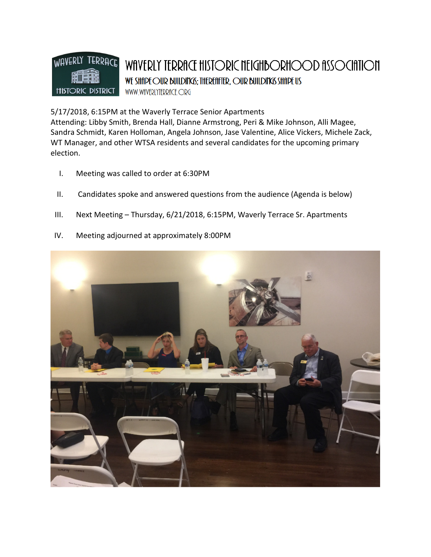

#### 5/17/2018, 6:15PM at the Waverly Terrace Senior Apartments

Attending: Libby Smith, Brenda Hall, Dianne Armstrong, Peri & Mike Johnson, Alli Magee, Sandra Schmidt, Karen Holloman, Angela Johnson, Jase Valentine, Alice Vickers, Michele Zack, WT Manager, and other WTSA residents and several candidates for the upcoming primary election.

- I. Meeting was called to order at 6:30PM
- II. Candidates spoke and answered questions from the audience (Agenda is below)
- III. Next Meeting Thursday, 6/21/2018, 6:15PM, Waverly Terrace Sr. Apartments
- IV. Meeting adjourned at approximately 8:00PM

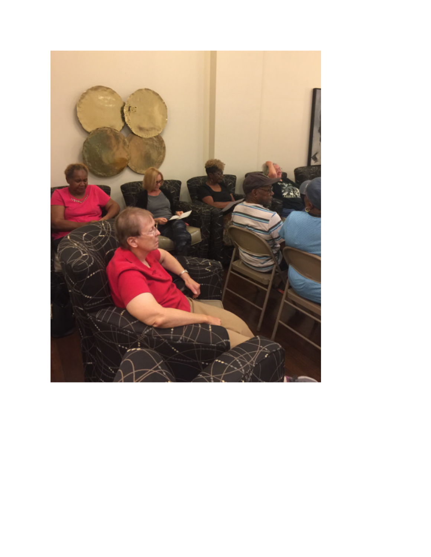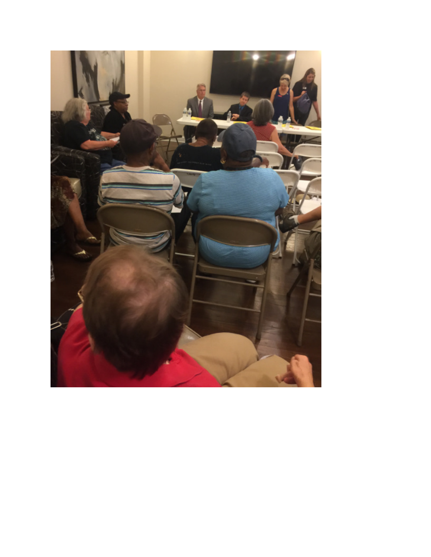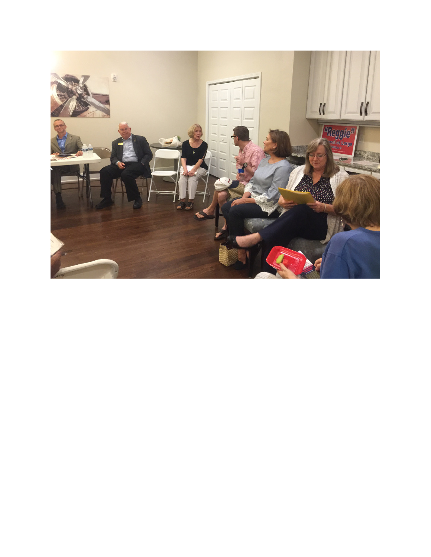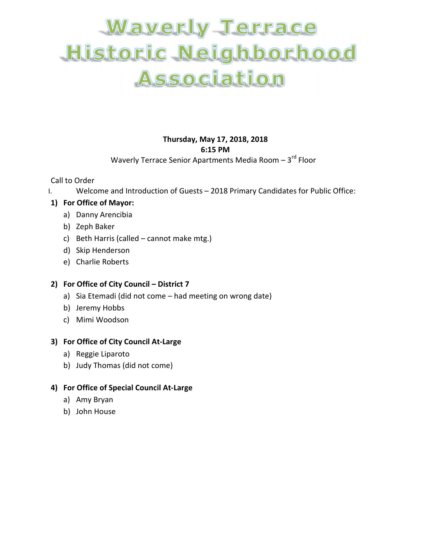# Waverly Terrace Historic Neighborhood Association

### Thursday, May 17, 2018, 2018 6:15 PM

Waverly Terrace Senior Apartments Media Room  $-3^{rd}$  Floor

Call to Order

I. Welcome and Introduction of Guests – 2018 Primary Candidates for Public Office:

### 1) For Office of Mayor:

- a) Danny Arencibia
- b) Zeph Baker
- c) Beth Harris (called cannot make mtg.)
- d) Skip Henderson
- e) Charlie Roberts

#### 2) For Office of City Council – District 7

- a) Sia Etemadi (did not come had meeting on wrong date)
- b) Jeremy Hobbs
- c) Mimi Woodson

#### 3) For Office of City Council At-Large

- a) Reggie Liparoto
- b) Judy Thomas (did not come)

#### 4) For Office of Special Council At-Large

- a) Amy Bryan
- b) John House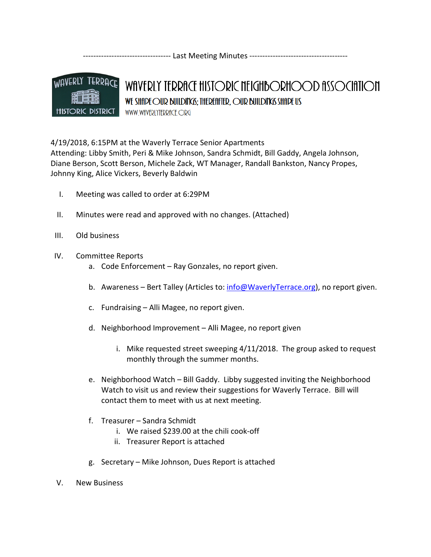---------------------------------- Last Meeting Minutes --------------------------------------



## WAVERLY TERRACE HISTORIC NEIGHBORHOOD ASSOCIATION WE SHAPE OUR BUILDINGS; THEREAFTER, OUR BUILDINGS SHAPE US WWW.WfIVERLYTERRfICE.ORG

4/19/2018, 6:15PM at the Waverly Terrace Senior Apartments

Attending: Libby Smith, Peri & Mike Johnson, Sandra Schmidt, Bill Gaddy, Angela Johnson, Diane Berson, Scott Berson, Michele Zack, WT Manager, Randall Bankston, Nancy Propes, Johnny King, Alice Vickers, Beverly Baldwin

- I. Meeting was called to order at 6:29PM
- II. Minutes were read and approved with no changes. (Attached)
- III. Old business
- IV. Committee Reports
	- a. Code Enforcement Ray Gonzales, no report given.
	- b. Awareness Bert Talley (Articles to: info@WaverlyTerrace.org), no report given.
	- c. Fundraising Alli Magee, no report given.
	- d. Neighborhood Improvement Alli Magee, no report given
		- i. Mike requested street sweeping 4/11/2018. The group asked to request monthly through the summer months.
	- e. Neighborhood Watch Bill Gaddy. Libby suggested inviting the Neighborhood Watch to visit us and review their suggestions for Waverly Terrace. Bill will contact them to meet with us at next meeting.
	- f. Treasurer Sandra Schmidt
		- i. We raised \$239.00 at the chili cook-off
		- ii. Treasurer Report is attached
	- g. Secretary Mike Johnson, Dues Report is attached
- V. New Business